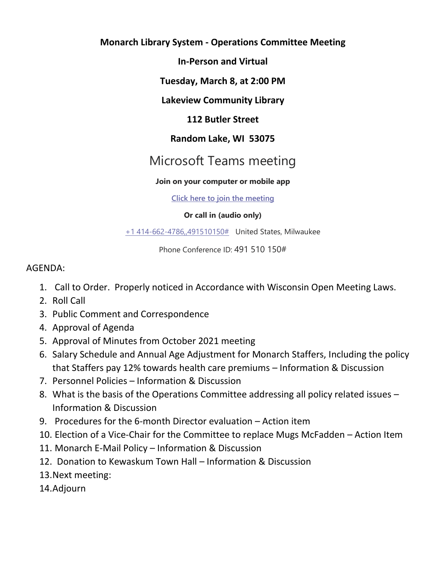# **Monarch Library System - Operations Committee Meeting**

**In-Person and Virtual**

**Tuesday, March 8, at 2:00 PM**

## **Lakeview Community Library**

## **112 Butler Street**

# **Random Lake, WI 53075**

# Microsoft Teams meeting

#### **Join on your computer or mobile app**

**[Click here to join the meeting](https://teams.microsoft.com/l/meetup-join/19%3ameeting_MTc0YmQ1NDctNzI5Ny00YzA4LWFiYWMtYmNkODJhNmYzZGVl%40thread.v2/0?context=%7b%22Tid%22%3a%228bc9106c-7143-432b-a0d6-6b0c089349b2%22%2c%22Oid%22%3a%2282c09725-6428-4a58-9841-a9ffe11e3df4%22%7d)**

#### **Or call in (audio only)**

[+1 414-662-4786,,491510150#](tel:+14146624786,,491510150# ) United States, Milwaukee

Phone Conference ID: 491 510 150#

## AGENDA:

- 1. Call to Order. Properly noticed in Accordance with Wisconsin Open Meeting Laws.
- 2. Roll Call
- 3. Public Comment and Correspondence
- 4. Approval of Agenda
- 5. Approval of Minutes from October 2021 meeting
- 6. Salary Schedule and Annual Age Adjustment for Monarch Staffers, Including the policy that Staffers pay 12% towards health care premiums – Information & Discussion
- 7. Personnel Policies Information & Discussion
- 8. What is the basis of the Operations Committee addressing all policy related issues Information & Discussion
- 9. Procedures for the 6-month Director evaluation Action item
- 10. Election of a Vice-Chair for the Committee to replace Mugs McFadden Action Item
- 11. Monarch E-Mail Policy Information & Discussion
- 12. Donation to Kewaskum Town Hall Information & Discussion
- 13.Next meeting:
- 14.Adjourn